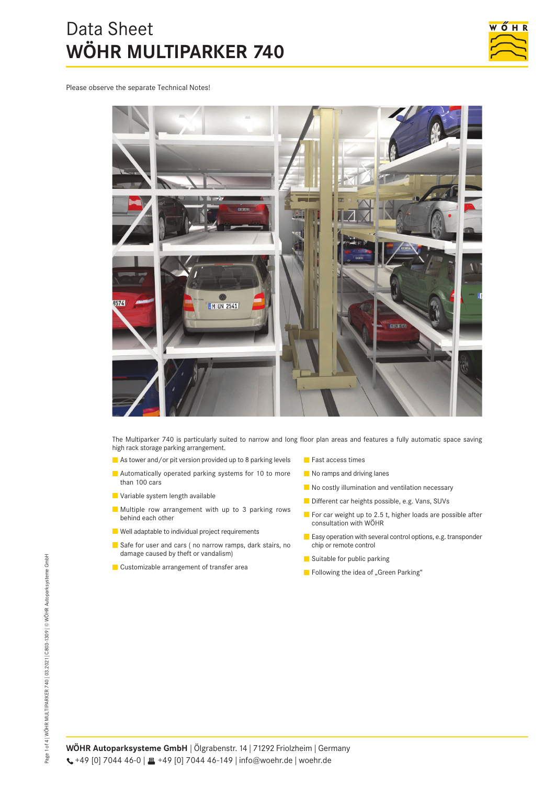# Data Sheet **WÖHR MULTIPARKER 740**



Please observe the separate Technical Notes!



The Multiparker 740 is particularly suited to narrow and long floor plan areas and features a fully automatic space saving high rack storage parking arrangement.

- As tower and/or pit version provided up to 8 parking levels
- **Automatically operated parking systems for 10 to more** than 100 cars
- Variable system length available
- Multiple row arrangement with up to 3 parking rows behind each other
- Well adaptable to individual project requirements
- Safe for user and cars ( no narrow ramps, dark stairs, no damage caused by theft or vandalism)
- **Customizable arrangement of transfer area**
- **Fast access times**
- No ramps and driving lanes
- No costly illumination and ventilation necessary
- Different car heights possible, e.g. Vans, SUVs
- For car weight up to 2.5 t, higher loads are possible after consultation with WÖHR
- **E** Easy operation with several control options, e.g. transponder chip or remote control
- Suitable for public parking
- Following the idea of "Green Parking"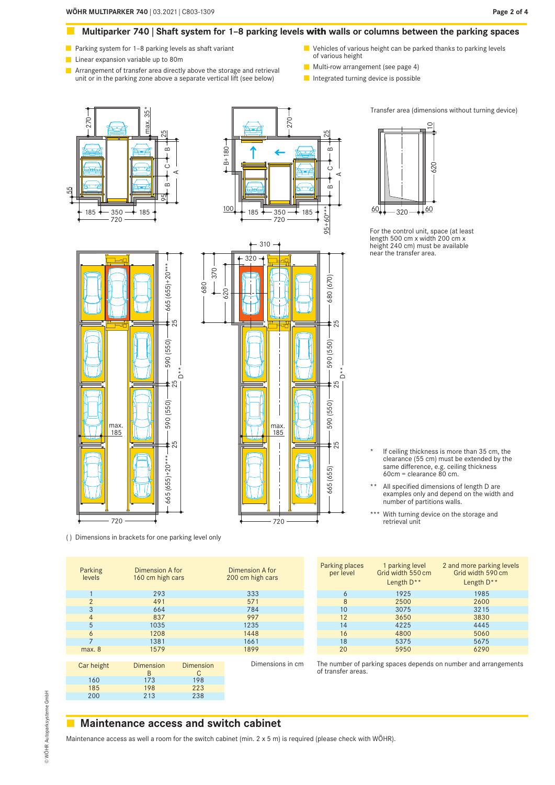#### **Multiparker 740 | Shaft system for 1–8 parking levels with walls or columns between the parking spaces**  $\mathcal{O}(\mathbb{R})$

- **Parking system for 1–8 parking levels as shaft variant**
- **Linear expansion variable up to 80m**
- Arrangement of transfer area directly above the storage and retrieval unit or in the parking zone above a separate vertical lift (see below)
- Vehicles of various height can be parked thanks to parking levels of various height
- **Multi-row arrangement (see page 4)**
- Integrated turning device is possible

25

680 (670)

590 (550)

590 (550)

 $665 (655)$   $\longrightarrow$   $\longrightarrow$  590 (550)  $\longrightarrow$  590 (550)  $\longrightarrow$  680 (670)

 $\big)$ \*

25

25

 $(655)$ 565

185 720  $350 - 185$  $\overline{m}$  $\dot{\circ}$  $\infty$ 95 A $25$ 55 max. 35\* 270



310

320

62 0

680 370

 $\begin{array}{c} \hline \end{array}$ 



For the control unit, space (at least length 500 cm x width 200 cm x height 240 cm) must be available near the transfer area.

Transfer area (dimensions without turning device)



( ) Dimensions in brackets for one parking level only

160 173 198 185 198 223<br>200 213 238

- \* If ceiling thickness is more than 35 cm, the clearance (55 cm) must be extended by the same difference, e.g. ceiling thickness 60cm = clearance 80 cm.
- \*\* All specified dimensions of length D are examples only and depend on the width and number of partitions walls.
- \*\*\* With turning device on the storage and retrieval unit

| Parking<br>levels | Dimension A for<br>160 cm high cars |                | Dimension A for<br>200 cm high cars | Parking places<br>per level | parking level<br>Grid width 550 cm<br>Length D** | 2 and more parking levels<br>Grid width 590 cm<br>Length D**    |
|-------------------|-------------------------------------|----------------|-------------------------------------|-----------------------------|--------------------------------------------------|-----------------------------------------------------------------|
|                   | 293                                 |                | 333                                 | 6                           | 1925                                             | 1985                                                            |
|                   | 491                                 |                | 571                                 | 8                           | 2500                                             | 2600                                                            |
| 3                 | 664                                 |                | 784                                 | 10                          | 3075                                             | 3215                                                            |
| 4                 | 837                                 |                | 997                                 | 12                          | 3650                                             | 3830                                                            |
| 5                 | 1035                                |                | 1235                                | 14                          | 4225                                             | 4445                                                            |
| 6                 | 1208                                |                | 1448                                | 16                          | 4800                                             | 5060                                                            |
|                   | 1381                                |                | 1661                                | 18                          | 5375                                             | 5675                                                            |
| max. 8            | 1579                                |                | 1899                                | 20                          | 5950                                             | 6290                                                            |
| Car height        | Dimension<br>B                      | Dimension<br>С | Dimensions in cm                    | of transfer areas.          |                                                  | The number of parking spaces depends on number and arrangements |
|                   |                                     |                |                                     |                             |                                                  |                                                                 |

720

max. 185

# **Maintenance access and switch cabinet**

238

Maintenance access as well a room for the switch cabinet (min. 2 x 5 m) is required (please check with WÖHR).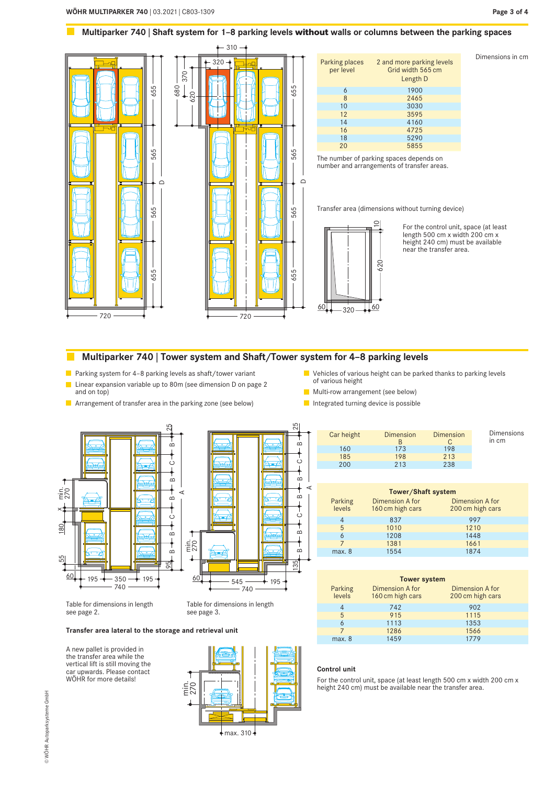#### $\mathcal{O}(\mathbb{R})$ **Multiparker 740 | Shaft system for 1–8 parking levels without walls or columns between the parking spaces**



# **Multiparker 740 | Tower system and Shaft/Tower system for 4–8 parking levels**

**Parking system for 4-8 parking levels as shaft/tower variant** 

- **Linear expansion variable up to 80m (see dimension D on page 2** and on top)
- **Arrangement of transfer area in the parking zone (see below)**
- **U** Vehicles of various height can be parked thanks to parking levels of various height
- **Multi-row arrangement (see below)**
- Integrated turning device is possible





Table for dimensions in length see page 2.

Table for dimensions in length see page 3.

#### **Transfer area lateral to the storage and retrieval unit**

A new pallet is provided in the transfer area while the vertical lift is still moving the car upwards. Please contact WÖHR for more details!



| Car height | <b>Dimension</b> | Dimension | <b>Dimensions</b><br>in cm |
|------------|------------------|-----------|----------------------------|
| 160        | 173              | 198       |                            |
| 185        | 198              | 213       |                            |
| 200        | 213              | 238       |                            |

| <b>Tower/Shaft system</b> |                                     |                                            |  |  |  |
|---------------------------|-------------------------------------|--------------------------------------------|--|--|--|
| Parking<br>levels         | Dimension A for<br>160 cm high cars | <b>Dimension A for</b><br>200 cm high cars |  |  |  |
| 4                         | 837                                 | 997                                        |  |  |  |
| 5                         | 1010                                | 1210                                       |  |  |  |
| 6                         | 1208                                | 1448                                       |  |  |  |
|                           | 1381                                | 1661                                       |  |  |  |
| max. 8                    | 1554                                | 1874                                       |  |  |  |

| <b>Tower system</b> |                                     |                                     |  |  |  |
|---------------------|-------------------------------------|-------------------------------------|--|--|--|
| Parking<br>levels   | Dimension A for<br>160 cm high cars | Dimension A for<br>200 cm high cars |  |  |  |
| 4                   | 742                                 | 902                                 |  |  |  |
| 5                   | 915                                 | 1115                                |  |  |  |
| 6                   | 1113                                | 1353                                |  |  |  |
|                     | 1286                                | 1566                                |  |  |  |
| max. 8              | 1459                                | 1779                                |  |  |  |

#### **Control unit**

A

For the control unit, space (at least length 500 cm x width 200 cm x height 240 cm) must be available near the transfer area.

**Page 3 of 4**